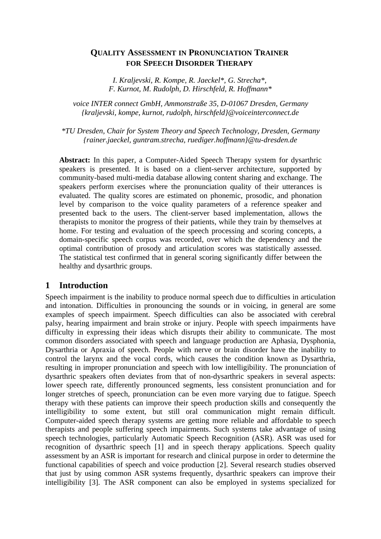## **QUALITY ASSESSMENT IN PRONUNCIATION TRAINER FOR SPEECH DISORDER THERAPY**

*I. Kraljevski, R. Kompe, R. Jaeckel\*, G. Strecha\*, F. Kurnot, M. Rudolph, D. Hirschfeld, R. Hoffmann\**

*voice INTER connect GmbH, Ammonstraße 35, D-01067 Dresden, Germany {kraljevski, kompe, kurnot, rudolph, hirschfeld}@voiceinterconnect.de*

*\*TU Dresden, Chair for System Theory and Speech Technology, Dresden, Germany {rainer.jaeckel, guntram.strecha, ruediger.hoffmann}@tu-dresden.de*

**Abstract:** In this paper, a Computer-Aided Speech Therapy system for dysarthric speakers is presented. It is based on a client-server architecture, supported by community-based multi-media database allowing content sharing and exchange. The speakers perform exercises where the pronunciation quality of their utterances is evaluated. The quality scores are estimated on phonemic, prosodic, and phonation level by comparison to the voice quality parameters of a reference speaker and presented back to the users. The client-server based implementation, allows the therapists to monitor the progress of their patients, while they train by themselves at home. For testing and evaluation of the speech processing and scoring concepts, a domain-specific speech corpus was recorded, over which the dependency and the optimal contribution of prosody and articulation scores was statistically assessed. The statistical test confirmed that in general scoring significantly differ between the healthy and dysarthric groups.

## **1 Introduction**

Speech impairment is the inability to produce normal speech due to difficulties in articulation and intonation. Difficulties in pronouncing the sounds or in voicing, in general are some examples of speech impairment. Speech difficulties can also be associated with cerebral palsy, hearing impairment and brain stroke or injury. People with speech impairments have difficulty in expressing their ideas which disrupts their ability to communicate. The most common disorders associated with speech and language production are Aphasia, Dysphonia, Dysarthria or Apraxia of speech. People with nerve or brain disorder have the inability to control the larynx and the vocal cords, which causes the condition known as Dysarthria, resulting in improper pronunciation and speech with low intelligibility. The pronunciation of dysarthric speakers often deviates from that of non-dysarthric speakers in several aspects: lower speech rate, differently pronounced segments, less consistent pronunciation and for longer stretches of speech, pronunciation can be even more varying due to fatigue. Speech therapy with these patients can improve their speech production skills and consequently the intelligibility to some extent, but still oral communication might remain difficult. Computer-aided speech therapy systems are getting more reliable and affordable to speech therapists and people suffering speech impairments. Such systems take advantage of using speech technologies, particularly Automatic Speech Recognition (ASR). ASR was used for recognition of dysarthric speech [1] and in speech therapy applications. Speech quality assessment by an ASR is important for research and clinical purpose in order to determine the functional capabilities of speech and voice production [2]. Several research studies observed that just by using common ASR systems frequently, dysarthric speakers can improve their intelligibility [3]. The ASR component can also be employed in systems specialized for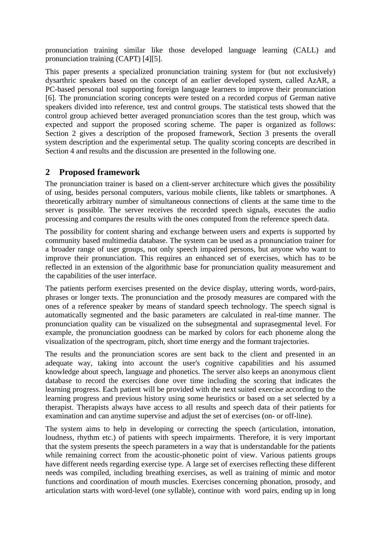pronunciation training similar like those developed language learning (CALL) and pronunciation training (CAPT) [4][5].

This paper presents a specialized pronunciation training system for (but not exclusively) dysarthric speakers based on the concept of an earlier developed system, called AzAR, a PC-based personal tool supporting foreign language learners to improve their pronunciation [6]. The pronunciation scoring concepts were tested on a recorded corpus of German native speakers divided into reference, test and control groups. The statistical tests showed that the control group achieved better averaged pronunciation scores than the test group, which was expected and support the proposed scoring scheme. The paper is organized as follows: Section 2 gives a description of the proposed framework, Section 3 presents the overall system description and the experimental setup. The quality scoring concepts are described in Section 4 and results and the discussion are presented in the following one.

## **2 Proposed framework**

The pronunciation trainer is based on a client-server architecture which gives the possibility of using, besides personal computers, various mobile clients, like tablets or smartphones. A theoretically arbitrary number of simultaneous connections of clients at the same time to the server is possible. The server receives the recorded speech signals, executes the audio processing and compares the results with the ones computed from the reference speech data.

The possibility for content sharing and exchange between users and experts is supported by community based multimedia database. The system can be used as a pronunciation trainer for a broader range of user groups, not only speech impaired persons, but anyone who want to improve their pronunciation. This requires an enhanced set of exercises, which has to be reflected in an extension of the algorithmic base for pronunciation quality measurement and the capabilities of the user interface.

The patients perform exercises presented on the device display, uttering words, word-pairs, phrases or longer texts. The pronunciation and the prosody measures are compared with the ones of a reference speaker by means of standard speech technology. The speech signal is automatically segmented and the basic parameters are calculated in real-time manner. The pronunciation quality can be visualized on the subsegmental and suprasegmental level. For example, the pronunciation goodness can be marked by colors for each phoneme along the visualization of the spectrogram, pitch, short time energy and the formant trajectories.

The results and the pronunciation scores are sent back to the client and presented in an adequate way, taking into account the user's cognitive capabilities and his assumed knowledge about speech, language and phonetics. The server also keeps an anonymous client database to record the exercises done over time including the scoring that indicates the learning progress. Each patient will be provided with the next suited exercise according to the learning progress and previous history using some heuristics or based on a set selected by a therapist. Therapists always have access to all results and speech data of their patients for examination and can anytime supervise and adjust the set of exercises (on- or off-line).

The system aims to help in developing or correcting the speech (articulation, intonation, loudness, rhythm etc.) of patients with speech impairments. Therefore, it is very important that the system presents the speech parameters in a way that is understandable for the patients while remaining correct from the acoustic-phonetic point of view. Various patients groups have different needs regarding exercise type. A large set of exercises reflecting these different needs was compiled, including breathing exercises, as well as training of mimic and motor functions and coordination of mouth muscles. Exercises concerning phonation, prosody, and articulation starts with word-level (one syllable), continue with word pairs, ending up in long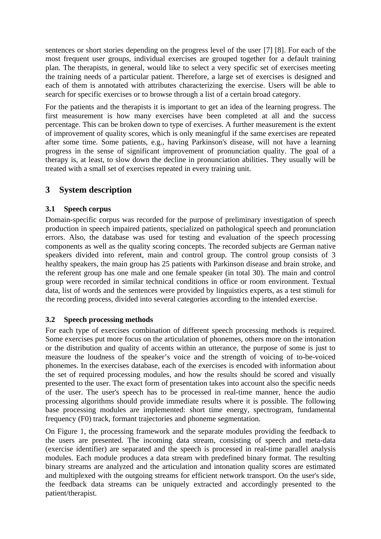sentences or short stories depending on the progress level of the user [7] [8]. For each of the most frequent user groups, individual exercises are grouped together for a default training plan. The therapists, in general, would like to select a very specific set of exercises meeting the training needs of a particular patient. Therefore, a large set of exercises is designed and each of them is annotated with attributes characterizing the exercise. Users will be able to search for specific exercises or to browse through a list of a certain broad category.

For the patients and the therapists it is important to get an idea of the learning progress. The first measurement is how many exercises have been completed at all and the success percentage. This can be broken down to type of exercises. A further measurement is the extent of improvement of quality scores, which is only meaningful if the same exercises are repeated after some time. Some patients, e.g., having Parkinson's disease, will not have a learning progress in the sense of significant improvement of pronunciation quality. The goal of a therapy is, at least, to slow down the decline in pronunciation abilities. They usually will be treated with a small set of exercises repeated in every training unit.

# **3 System description**

## **3.1 Speech corpus**

Domain-specific corpus was recorded for the purpose of preliminary investigation of speech production in speech impaired patients, specialized on pathological speech and pronunciation errors. Also, the database was used for testing and evaluation of the speech processing components as well as the quality scoring concepts. The recorded subjects are German native speakers divided into referent, main and control group. The control group consists of 3 healthy speakers, the main group has 25 patients with Parkinson disease and brain stroke, and the referent group has one male and one female speaker (in total 30). The main and control group were recorded in similar technical conditions in office or room environment. Textual data, list of words and the sentences were provided by linguistics experts, as a test stimuli for the recording process, divided into several categories according to the intended exercise.

## **3.2 Speech processing methods**

For each type of exercises combination of different speech processing methods is required. Some exercises put more focus on the articulation of phonemes, others more on the intonation or the distribution and quality of accents within an utterance, the purpose of some is just to measure the loudness of the speaker's voice and the strength of voicing of to-be-voiced phonemes. In the exercises database, each of the exercises is encoded with information about the set of required processing modules, and how the results should be scored and visually presented to the user. The exact form of presentation takes into account also the specific needs of the user. The user's speech has to be processed in real-time manner, hence the audio processing algorithms should provide immediate results where it is possible. The following base processing modules are implemented: short time energy, spectrogram, fundamental frequency (F0) track, formant trajectories and phoneme segmentation.

On Figure 1, the processing framework and the separate modules providing the feedback to the users are presented. The incoming data stream, consisting of speech and meta-data (exercise identifier) are separated and the speech is processed in real-time parallel analysis modules. Each module produces a data stream with predefined binary format. The resulting binary streams are analyzed and the articulation and intonation quality scores are estimated and multiplexed with the outgoing streams for efficient network transport. On the user's side, the feedback data streams can be uniquely extracted and accordingly presented to the patient/therapist.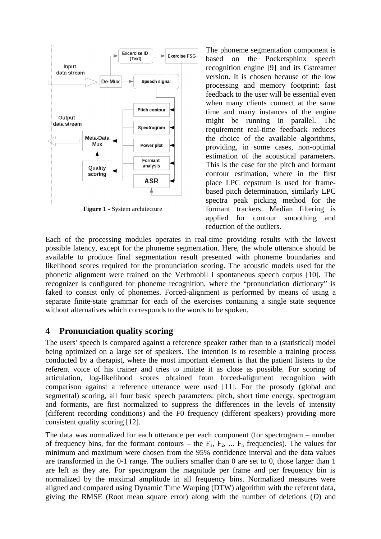

**Figure 1 -** System architecture

The phoneme segmentation component is based on the Pocketsphinx speech recognition engine [9] and its Gstreamer version. It is chosen because of the low processing and memory footprint: fast feedback to the user will be essential even when many clients connect at the same time and many instances of the engine might be running in parallel. The requirement real-time feedback reduces the choice of the available algorithms, providing, in some cases, non-optimal estimation of the acoustical parameters. This is the case for the pitch and formant contour estimation, where in the first place LPC cepstrum is used for framebased pitch determination, similarly LPC spectra peak picking method for the formant trackers. Median filtering is applied for contour smoothing and reduction of the outliers.

Each of the processing modules operates in real-time providing results with the lowest possible latency, except for the phoneme segmentation. Here, the whole utterance should be available to produce final segmentation result presented with phoneme boundaries and likelihood scores required for the pronunciation scoring. The acoustic models used for the phonetic alignment were trained on the Verbmobil I spontaneous speech corpus [10]. The recognizer is configured for phoneme recognition, where the "pronunciation dictionary" is faked to consist only of phonemes. Forced-alignment is performed by means of using a separate finite-state grammar for each of the exercises containing a single state sequence without alternatives which corresponds to the words to be spoken.

# **4 Pronunciation quality scoring**

The users' speech is compared against a reference speaker rather than to a (statistical) model being optimized on a large set of speakers. The intention is to resemble a training process conducted by a therapist, where the most important element is that the patient listens to the referent voice of his trainer and tries to imitate it as close as possible. For scoring of articulation, log-likelihood scores obtained from forced-alignment recognition with comparison against a reference utterance were used [11]. For the prosody (global and segmental) scoring, all four basic speech parameters: pitch, short time energy, spectrogram and formants, are first normalized to suppress the differences in the levels of intensity (different recording conditions) and the F0 frequency (different speakers) providing more consistent quality scoring [12].

The data was normalized for each utterance per each component (for spectrogram – number of frequency bins, for the formant contours – the  $F_1$ ,  $F_2$ , ...  $F_n$  frequencies). The values for minimum and maximum were chosen from the 95% confidence interval and the data values are transformed in the 0-1 range. The outliers smaller than 0 are set to 0, those larger than 1 are left as they are. For spectrogram the magnitude per frame and per frequency bin is normalized by the maximal amplitude in all frequency bins. Normalized measures were aligned and compared using Dynamic Time Warping (DTW) algorithm with the referent data, giving the RMSE (Root mean square error) along with the number of deletions (*D*) and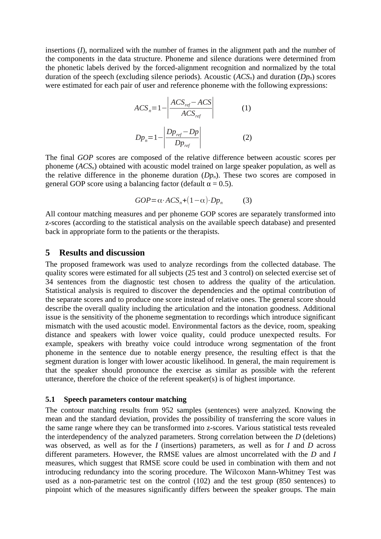insertions (*I*), normalized with the number of frames in the alignment path and the number of the components in the data structure. Phoneme and silence durations were determined from the phonetic labels derived by the forced-alignment recognition and normalized by the total duration of the speech (excluding silence periods). Acoustic (*ACSn*) and duration (*Dpn*) scores were estimated for each pair of user and reference phoneme with the following expressions:

$$
ACSn=1-\left|\frac{ACS_{ref} - ACS}{ACS_{ref}}\right|
$$
 (1)  

$$
Dpn=1-\left|\frac{Dp_{ref} - Dp}{Dp_{ref}}\right|
$$
 (2)

The final *GOP* scores are composed of the relative difference between acoustic scores per phoneme (*ACSn*) obtained with acoustic model trained on large speaker population, as well as the relative difference in the phoneme duration  $(Dp_n)$ . These two scores are composed in general GOP score using a balancing factor (default  $\alpha = 0.5$ ).

$$
GOP = \alpha \cdot ACS_n + (1 - \alpha) \cdot Dp_n \tag{3}
$$

All contour matching measures and per phoneme GOP scores are separately transformed into z-scores (according to the statistical analysis on the available speech database) and presented back in appropriate form to the patients or the therapists.

#### **5 Results and discussion**

The proposed framework was used to analyze recordings from the collected database. The quality scores were estimated for all subjects (25 test and 3 control) on selected exercise set of 34 sentences from the diagnostic test chosen to address the quality of the articulation. Statistical analysis is required to discover the dependencies and the optimal contribution of the separate scores and to produce one score instead of relative ones. The general score should describe the overall quality including the articulation and the intonation goodness. Additional issue is the sensitivity of the phoneme segmentation to recordings which introduce significant mismatch with the used acoustic model. Environmental factors as the device, room, speaking distance and speakers with lower voice quality, could produce unexpected results. For example, speakers with breathy voice could introduce wrong segmentation of the front phoneme in the sentence due to notable energy presence, the resulting effect is that the segment duration is longer with lower acoustic likelihood. In general, the main requirement is that the speaker should pronounce the exercise as similar as possible with the referent utterance, therefore the choice of the referent speaker(s) is of highest importance.

#### **5.1 Speech parameters contour matching**

The contour matching results from 952 samples (sentences) were analyzed. Knowing the mean and the standard deviation, provides the possibility of transferring the score values in the same range where they can be transformed into z-scores. Various statistical tests revealed the interdependency of the analyzed parameters. Strong correlation between the *D* (deletions) was observed, as well as for the *I* (insertions) parameters, as well as for *I* and *D* across different parameters. However, the RMSE values are almost uncorrelated with the *D* and *I* measures, which suggest that RMSE score could be used in combination with them and not introducing redundancy into the scoring procedure. The Wilcoxon Mann-Whitney Test was used as a non-parametric test on the control (102) and the test group (850 sentences) to pinpoint which of the measures significantly differs between the speaker groups. The main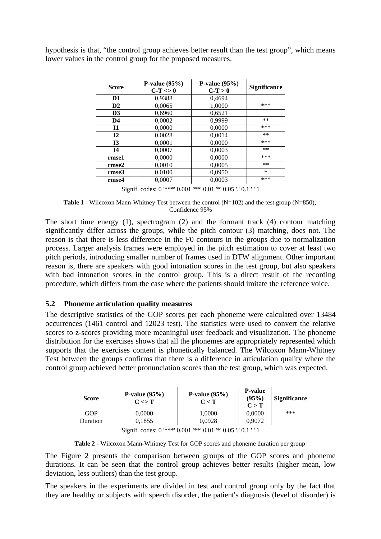hypothesis is that, "the control group achieves better result than the test group", which means lower values in the control group for the proposed measures.

| <b>Score</b>   | P-value $(95%)$<br>$C-T \ll 0$ | P-value $(95%)$<br>$C-T > 0$ | Significance |
|----------------|--------------------------------|------------------------------|--------------|
| D <sub>1</sub> | 0,9388                         | 0.4694                       |              |
| D <sub>2</sub> | 0,0065                         | 1,0000                       | $***$        |
| D <sub>3</sub> | 0,6960                         | 0,6521                       |              |
| D4             | 0,0002                         | 0,9999                       | $**$         |
| 11             | 0,0000                         | 0,0000                       | $***$        |
| 12             | 0.0028                         | 0.0014                       | $**$         |
| 13             | 0.0001                         | 0,0000                       | $***$        |
| <b>I4</b>      | 0.0007                         | 0.0003                       | $**$         |
| rmse1          | 0.0000                         | 0.0000                       | $***$        |
| rmse2          | 0,0010                         | 0,0005                       | $**$         |
| rmse3          | 0,0100                         | 0,0950                       | $\ast$       |
| rmse4          | 0,0007                         | 0,0003                       | $***$        |

Signif. codes: 0 '\*\*\*' 0.001 '\*\*' 0.01 '\*' 0.05 '.' 0.1 ' ' 1

**Table 1** - Wilcoxon Mann-Whitney Test between the control (N=102) and the test group (N=850), Confidence 95%

The short time energy (1), spectrogram (2) and the formant track (4) contour matching significantly differ across the groups, while the pitch contour (3) matching, does not. The reason is that there is less difference in the F0 contours in the groups due to normalization process. Larger analysis frames were employed in the pitch estimation to cover at least two pitch periods, introducing smaller number of frames used in DTW alignment. Other important reason is, there are speakers with good intonation scores in the test group, but also speakers with bad intonation scores in the control group. This is a direct result of the recording procedure, which differs from the case where the patients should imitate the reference voice.

### **5.2 Phoneme articulation quality measures**

The descriptive statistics of the GOP scores per each phoneme were calculated over 13484 occurrences (1461 control and 12023 test). The statistics were used to convert the relative scores to z-scores providing more meaningful user feedback and visualization. The phoneme distribution for the exercises shows that all the phonemes are appropriately represented which supports that the exercises content is phonetically balanced. The Wilcoxon Mann-Whitney Test between the groups confirms that there is a difference in articulation quality where the control group achieved better pronunciation scores than the test group, which was expected.

| Score                                                        | P-value $(95%)$<br>$C \ll T$ | P-value $(95%)$<br>$C \leq T$ | <b>P-value</b><br>(95%)<br>C > T | Significance |  |  |
|--------------------------------------------------------------|------------------------------|-------------------------------|----------------------------------|--------------|--|--|
| GOP                                                          | 0,0000                       | 1,0000                        | 0,0000                           | $***$        |  |  |
| Duration                                                     | 0,1855                       | 0,0928                        | 0.9072                           |              |  |  |
| Signif. codes: 0 '***' 0.001 '**' 0.01 '*' 0.05 '.' 0.1 '' 1 |                              |                               |                                  |              |  |  |

**Table 2** - Wilcoxon Mann-Whitney Test for GOP scores and phoneme duration per group

The Figure 2 presents the comparison between groups of the GOP scores and phoneme durations. It can be seen that the control group achieves better results (higher mean, low deviation, less outliers) than the test group.

The speakers in the experiments are divided in test and control group only by the fact that they are healthy or subjects with speech disorder, the patient's diagnosis (level of disorder) is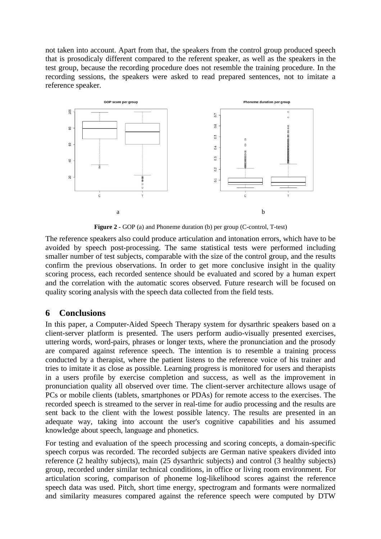not taken into account. Apart from that, the speakers from the control group produced speech that is prosodicaly different compared to the referent speaker, as well as the speakers in the test group, because the recording procedure does not resemble the training procedure. In the recording sessions, the speakers were asked to read prepared sentences, not to imitate a reference speaker.



**Figure 2 -** GOP (a) and Phoneme duration (b) per group (C-control, T-test)

The reference speakers also could produce articulation and intonation errors, which have to be avoided by speech post-processing. The same statistical tests were performed including smaller number of test subjects, comparable with the size of the control group, and the results confirm the previous observations. In order to get more conclusive insight in the quality scoring process, each recorded sentence should be evaluated and scored by a human expert and the correlation with the automatic scores observed. Future research will be focused on quality scoring analysis with the speech data collected from the field tests.

## **6 Conclusions**

In this paper, a Computer-Aided Speech Therapy system for dysarthric speakers based on a client-server platform is presented. The users perform audio-visually presented exercises, uttering words, word-pairs, phrases or longer texts, where the pronunciation and the prosody are compared against reference speech. The intention is to resemble a training process conducted by a therapist, where the patient listens to the reference voice of his trainer and tries to imitate it as close as possible. Learning progress is monitored for users and therapists in a users profile by exercise completion and success, as well as the improvement in pronunciation quality all observed over time. The client-server architecture allows usage of PCs or mobile clients (tablets, smartphones or PDAs) for remote access to the exercises. The recorded speech is streamed to the server in real-time for audio processing and the results are sent back to the client with the lowest possible latency. The results are presented in an adequate way, taking into account the user's cognitive capabilities and his assumed knowledge about speech, language and phonetics.

For testing and evaluation of the speech processing and scoring concepts, a domain-specific speech corpus was recorded. The recorded subjects are German native speakers divided into reference (2 healthy subjects), main (25 dysarthric subjects) and control (3 healthy subjects) group, recorded under similar technical conditions, in office or living room environment. For articulation scoring, comparison of phoneme log-likelihood scores against the reference speech data was used. Pitch, short time energy, spectrogram and formants were normalized and similarity measures compared against the reference speech were computed by DTW